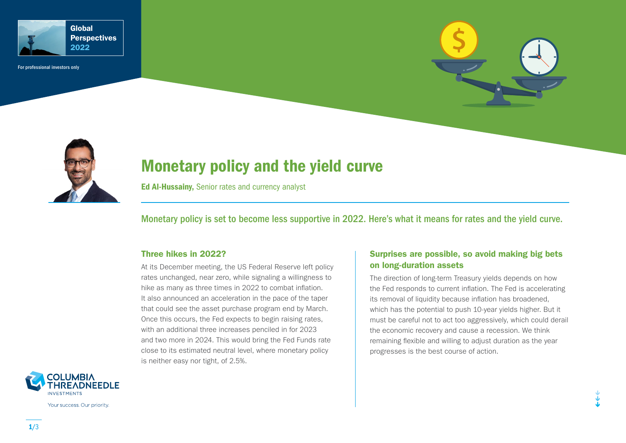

For professional investors only





# Monetary policy and the yield curve

Ed Al-Hussainy, Senior rates and currency analyst

Monetary policy is set to become less supportive in 2022. Here's what it means for rates and the yield curve.

### Three hikes in 2022?

At its December meeting, the US Federal Reserve left policy rates unchanged, near zero, while signaling a willingness to hike as many as three times in 2022 to combat inflation. It also announced an acceleration in the pace of the taper that could see the asset purchase program end by March. Once this occurs, the Fed expects to begin raising rates, with an additional three increases penciled in for 2023 and two more in 2024. This would bring the Fed Funds rate close to its estimated neutral level, where monetary policy is neither easy nor tight, of 2.5%.

## Surprises are possible, so avoid making big bets on long-duration assets

The direction of long-term Treasury yields depends on how the Fed responds to current inflation. The Fed is accelerating its removal of liquidity because inflation has broadened, which has the potential to push 10-year yields higher. But it must be careful not to act too aggressively, which could derail the economic recovery and cause a recession. We think remaining flexible and willing to adjust duration as the year progresses is the best course of action.



Your success. Our priority.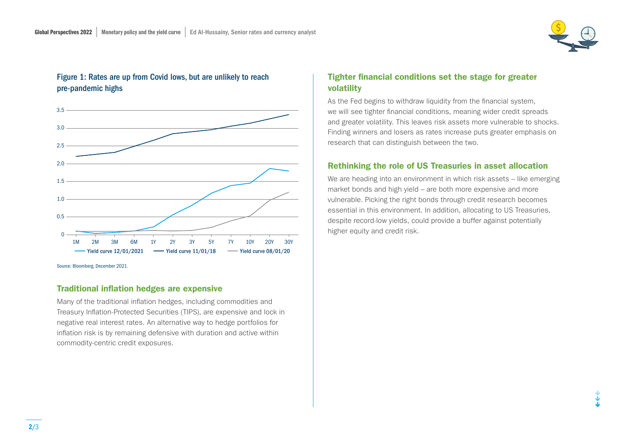

# Figure 1: Rates are up from Covid lows, but are unlikely to reach pre-pandemic highs



Source: Bloomberg, December 2021.

### Traditional inflation hedges are expensive

Many of the traditional inflation hedges, including commodities and Treasury Inflation-Protected Securities (TIPS), are expensive and lock in negative real interest rates. An alternative way to hedge portfolios for inflation risk is by remaining defensive with duration and active within commodity-centric credit exposures.

# Tighter financial conditions set the stage for greater volatility

As the Fed begins to withdraw liquidity from the financial system, we will see tighter financial conditions, meaning wider credit spreads and greater volatility. This leaves risk assets more vulnerable to shocks. Finding winners and losers as rates increase puts greater emphasis on research that can distinguish between the two.

### Rethinking the role of US Treasuries in asset allocation

We are heading into an environment in which risk assets – like emerging market bonds and high yield – are both more expensive and more vulnerable. Picking the right bonds through credit research becomes essential in this environment. In addition, allocating to US Treasuries, despite record-low yields, could provide a buffer against potentially higher equity and credit risk.